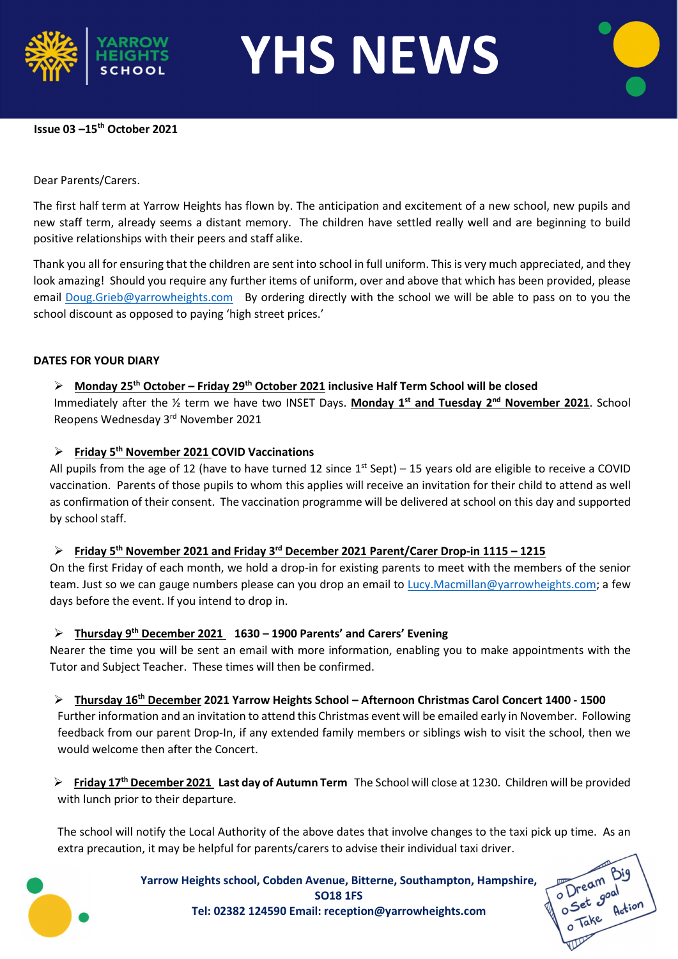

YHS NEWS

# Issue 03 –15th October 2021

# Dear Parents/Carers.

The first half term at Yarrow Heights has flown by. The anticipation and excitement of a new school, new pupils and new staff term, already seems a distant memory. The children have settled really well and are beginning to build positive relationships with their peers and staff alike.

Thank you all for ensuring that the children are sent into school in full uniform. This is very much appreciated, and they look amazing! Should you require any further items of uniform, over and above that which has been provided, please email Doug.Grieb@yarrowheights.com By ordering directly with the school we will be able to pass on to you the school discount as opposed to paying 'high street prices.'

#### DATES FOR YOUR DIARY

# $\triangleright$  Monday 25<sup>th</sup> October – Friday 29<sup>th</sup> October 2021 inclusive Half Term School will be closed

Immediately after the  $\frac{1}{2}$  term we have two INSET Days. Monday 1<sup>st</sup> and Tuesday 2<sup>nd</sup> November 2021. School Reopens Wednesday 3rd November 2021

# $\triangleright$  Friday 5<sup>th</sup> November 2021 COVID Vaccinations

All pupils from the age of 12 (have to have turned 12 since  $1^{st}$  Sept) – 15 years old are eligible to receive a COVID vaccination. Parents of those pupils to whom this applies will receive an invitation for their child to attend as well as confirmation of their consent. The vaccination programme will be delivered at school on this day and supported by school staff.

# Friday 5<sup>th</sup> November 2021 and Friday 3<sup>rd</sup> December 2021 Parent/Carer Drop-in 1115 – 1215

On the first Friday of each month, we hold a drop-in for existing parents to meet with the members of the senior team. Just so we can gauge numbers please can you drop an email to Lucy.Macmillan@yarrowheights.com; a few days before the event. If you intend to drop in.

# $\triangleright$  Thursday 9<sup>th</sup> December 2021 1630 – 1900 Parents' and Carers' Evening

Nearer the time you will be sent an email with more information, enabling you to make appointments with the Tutor and Subject Teacher. These times will then be confirmed.

▶ Thursdav 16<sup>th</sup> December 2021 Yarrow Heights School – Afternoon Christmas Carol Concert 1400 - 1500

Further information and an invitation to attend this Christmas event will be emailed early in November. Following feedback from our parent Drop-In, if any extended family members or siblings wish to visit the school, then we would welcome then after the Concert.

Friday 17<sup>th</sup> December 2021 Last day of Autumn Term The School will close at 1230. Children will be provided with lunch prior to their departure.

The school will notify the Local Authority of the above dates that involve changes to the taxi pick up time. As an extra precaution, it may be helpful for parents/carers to advise their individual taxi driver.



Yarrow Heights school, Cobden Avenue, Bitterne, Southampton, Hampshire, SO18 1FS Tel: 02382 124590 Email: reception@yarrowheights.com